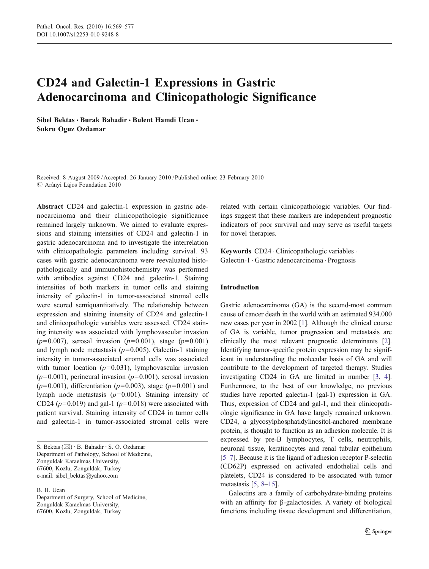# CD24 and Galectin-1 Expressions in Gastric Adenocarcinoma and Clinicopathologic Significance

Sibel Bektas • Burak Bahadir • Bulent Hamdi Ucan • Sukru Oguz Ozdamar

Received: 8 August 2009 /Accepted: 26 January 2010 / Published online: 23 February 2010  $\oslash$  Arányi Lajos Foundation 2010

Abstract CD24 and galectin-1 expression in gastric adenocarcinoma and their clinicopathologic significance remained largely unknown. We aimed to evaluate expressions and staining intensities of CD24 and galectin-1 in gastric adenocarcinoma and to investigate the interrelation with clinicopathologic parameters including survival. 93 cases with gastric adenocarcinoma were reevaluated histopathologically and immunohistochemistry was performed with antibodies against CD24 and galectin-1. Staining intensities of both markers in tumor cells and staining intensity of galectin-1 in tumor-associated stromal cells were scored semiquantitatively. The relationship between expression and staining intensity of CD24 and galectin-1 and clinicopathologic variables were assessed. CD24 staining intensity was associated with lymphovascular invasion  $(p=0.007)$ , serosal invasion  $(p=0.001)$ , stage  $(p=0.001)$ and lymph node metastasis  $(p=0.005)$ . Galectin-1 staining intensity in tumor-associated stromal cells was associated with tumor location  $(p=0.031)$ , lymphovascular invasion  $(p=0.001)$ , perineural invasion  $(p=0.001)$ , serosal invasion  $(p=0.001)$ , differentiation  $(p=0.003)$ , stage  $(p=0.001)$  and lymph node metastasis  $(p=0.001)$ . Staining intensity of CD24 ( $p=0.019$ ) and gal-1 ( $p=0.018$ ) were associated with patient survival. Staining intensity of CD24 in tumor cells and galectin-1 in tumor-associated stromal cells were

S. Bektas ( $\boxtimes$ ) · B. Bahadir · S. O. Ozdamar Department of Pathology, School of Medicine, Zonguldak Karaelmas University, 67600, Kozlu, Zonguldak, Turkey e-mail: sibel\_bektas@yahoo.com

B. H. Ucan

Department of Surgery, School of Medicine, Zonguldak Karaelmas University, 67600, Kozlu, Zonguldak, Turkey

related with certain clinicopathologic variables. Our findings suggest that these markers are independent prognostic indicators of poor survival and may serve as useful targets for novel therapies.

Keywords CD24 . Clinicopathologic variables. Galectin-1 . Gastric adenocarcinoma . Prognosis

# Introduction

Gastric adenocarcinoma (GA) is the second-most common cause of cancer death in the world with an estimated 934.000 new cases per year in 2002 [\[1](#page-7-0)]. Although the clinical course of GA is variable, tumor progression and metastasis are clinically the most relevant prognostic determinants [[2\]](#page-7-0). Identifying tumor-specific protein expression may be significant in understanding the molecular basis of GA and will contribute to the development of targeted therapy. Studies investigating CD24 in GA are limited in number [\[3](#page-7-0), [4\]](#page-7-0). Furthermore, to the best of our knowledge, no previous studies have reported galectin-1 (gal-1) expression in GA. Thus, expression of CD24 and gal-1, and their clinicopathologic significance in GA have largely remained unknown. CD24, a glycosylphosphatidylinositol-anchored membrane protein, is thought to function as an adhesion molecule. It is expressed by pre-B lymphocytes, T cells, neutrophils, neuronal tissue, keratinocytes and renal tubular epithelium [\[5](#page-7-0)–[7\]](#page-7-0). Because it is the ligand of adhesion receptor P-selectin (CD62P) expressed on activated endothelial cells and platelets, CD24 is considered to be associated with tumor metastasis [\[5,](#page-7-0) [8](#page-7-0)–[15](#page-7-0)].

Galectins are a family of carbohydrate-binding proteins with an affinity for β-galactosides. A variety of biological functions including tissue development and differentiation,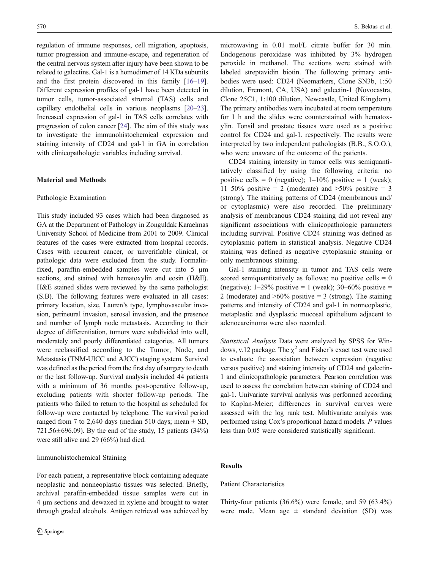regulation of immune responses, cell migration, apoptosis, tumor progression and immune-escape, and regeneration of the central nervous system after injury have been shown to be related to galectins. Gal-1 is a homodimer of 14 KDa subunits and the first protein discovered in this family [[16](#page-7-0)–[19](#page-7-0)]. Different expression profiles of gal-1 have been detected in tumor cells, tumor-associated stromal (TAS) cells and capillary endothelial cells in various neoplasms [\[20](#page-7-0)–[23\]](#page-7-0). Increased expression of gal-1 in TAS cells correlates with progression of colon cancer [[24\]](#page-7-0). The aim of this study was to investigate the immunohistochemical expression and staining intensity of CD24 and gal-1 in GA in correlation with clinicopathologic variables including survival.

# Material and Methods

#### Pathologic Examination

This study included 93 cases which had been diagnosed as GA at the Department of Pathology in Zonguldak Karaelmas University School of Medicine from 2001 to 2009. Clinical features of the cases were extracted from hospital records. Cases with recurrent cancer, or unverifiable clinical, or pathologic data were excluded from the study. Formalinfixed, paraffin-embedded samples were cut into 5 µm sections, and stained with hematoxylin and eosin (H&E). H&E stained slides were reviewed by the same pathologist (S.B). The following features were evaluated in all cases: primary location, size, Lauren's type, lymphovascular invasion, perineural invasion, serosal invasion, and the presence and number of lymph node metastasis. According to their degree of differentiation, tumors were subdivided into well, moderately and poorly differentiated categories. All tumors were reclassified according to the Tumor, Node, and Metastasis (TNM-UICC and AJCC) staging system. Survival was defined as the period from the first day of surgery to death or the last follow-up. Survival analysis included 44 patients with a minimum of 36 months post-operative follow-up, excluding patients with shorter follow-up periods. The patients who failed to return to the hospital as scheduled for follow-up were contacted by telephone. The survival period ranged from 7 to 2,640 days (median 510 days; mean  $\pm$  SD,  $721.56 \pm 696.09$ ). By the end of the study, 15 patients (34%) were still alive and 29 (66%) had died.

#### Immunohistochemical Staining

For each patient, a representative block containing adequate neoplastic and nonneoplastic tissues was selected. Briefly, archival paraffin-embedded tissue samples were cut in 4 µm sections and dewaxed in xylene and brought to water through graded alcohols. Antigen retrieval was achieved by microwaving in 0.01 mol/L citrate buffer for 30 min. Endogenous peroxidase was inhibited by 3% hydrogen peroxide in methanol. The sections were stained with labeled streptavidin biotin. The following primary antibodies were used: CD24 (Neomarkers, Clone SN3b, 1:50 dilution, Fremont, CA, USA) and galectin-1 (Novocastra, Clone 25C1, 1:100 dilution, Newcastle, United Kingdom). The primary antibodies were incubated at room temperature for 1 h and the slides were counterstained with hematoxylin. Tonsil and prostate tissues were used as a positive control for CD24 and gal-1, respectively. The results were interpreted by two independent pathologists (B.B., S.O.O.), who were unaware of the outcome of the patients.

CD24 staining intensity in tumor cells was semiquantitatively classified by using the following criteria: no positive cells = 0 (negative);  $1-10\%$  positive = 1 (weak);  $11–50\%$  positive = 2 (moderate) and  $>50\%$  positive = 3 (strong). The staining patterns of CD24 (membranous and/ or cytoplasmic) were also recorded. The preliminary analysis of membranous CD24 staining did not reveal any significant associations with clinicopathologic parameters including survival. Positive CD24 staining was defined as cytoplasmic pattern in statistical analysis. Negative CD24 staining was defined as negative cytoplasmic staining or only membranous staining.

Gal-1 staining intensity in tumor and TAS cells were scored semiquantitatively as follows: no positive cells  $= 0$ (negative);  $1-29\%$  positive = 1 (weak);  $30-60\%$  positive = 2 (moderate) and  $>60\%$  positive = 3 (strong). The staining patterns and intensity of CD24 and gal-1 in nonneoplastic, metaplastic and dysplastic mucosal epithelium adjacent to adenocarcinoma were also recorded.

Statistical Analysis Data were analyzed by SPSS for Windows, v.12 package. The  $\chi^2$  and Fisher's exact test were used to evaluate the association between expression (negative versus positive) and staining intensity of CD24 and galectin-1 and clinicopathologic parameters. Pearson correlation was used to assess the correlation between staining of CD24 and gal-1. Univariate survival analysis was performed according to Kaplan-Meier; differences in survival curves were assessed with the log rank test. Multivariate analysis was performed using Cox's proportional hazard models. P values less than 0.05 were considered statistically significant.

### Results

# Patient Characteristics

Thirty-four patients (36.6%) were female, and 59 (63.4%) were male. Mean age  $\pm$  standard deviation (SD) was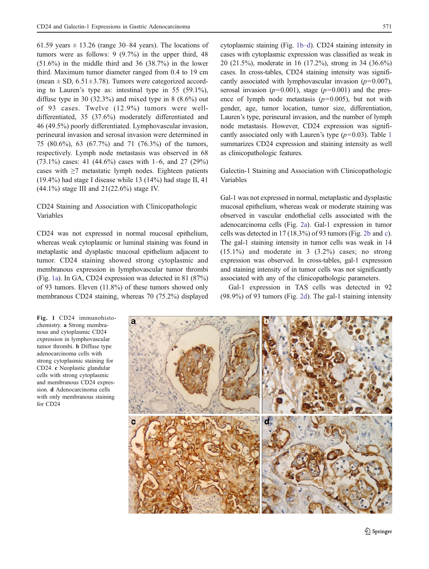61.59 years  $\pm$  13.26 (range 30–84 years). The locations of tumors were as follows: 9 (9.7%) in the upper third, 48  $(51.6\%)$  in the middle third and 36  $(38.7\%)$  in the lower third. Maximum tumor diameter ranged from 0.4 to 19 cm (mean  $\pm$  SD, 6.51 $\pm$ 3.78). Tumors were categorized according to Lauren's type as: intestinal type in 55 (59.1%), diffuse type in 30  $(32.3\%)$  and mixed type in 8  $(8.6\%)$  out of 93 cases. Twelve (12.9%) tumors were welldifferentiated, 35 (37.6%) moderately differentiated and 46 (49.5%) poorly differentiated. Lymphovascular invasion, perineural invasion and serosal invasion were determined in 75 (80.6%), 63 (67.7%) and 71 (76.3%) of the tumors, respectively. Lymph node metastasis was observed in 68  $(73.1\%)$  cases: 41 (44.6%) cases with 1–6, and 27 (29%) cases with  $\geq 7$  metastatic lymph nodes. Eighteen patients (19.4%) had stage I disease while 13 (14%) had stage II, 41 (44.1%) stage III and 21(22.6%) stage IV.

# CD24 Staining and Association with Clinicopathologic Variables

CD24 was not expressed in normal mucosal epithelium, whereas weak cytoplasmic or luminal staining was found in metaplastic and dysplastic mucosal epithelium adjacent to tumor. CD24 staining showed strong cytoplasmic and membranous expression in lymphovascular tumor thrombi (Fig. 1a). In GA, CD24 expression was detected in 81 (87%) of 93 tumors. Eleven (11.8%) of these tumors showed only membranous CD24 staining, whereas 70 (75.2%) displayed cytoplasmic staining (Fig. 1b–d). CD24 staining intensity in cases with cytoplasmic expression was classified as weak in 20 (21.5%), moderate in 16 (17.2%), strong in 34 (36.6%) cases. In cross-tables, CD24 staining intensity was significantly associated with lymphovascular invasion  $(p=0.007)$ , serosal invasion ( $p=0.001$ ), stage ( $p=0.001$ ) and the presence of lymph node metastasis  $(p=0.005)$ , but not with gender, age, tumor location, tumor size, differentiation, Lauren's type, perineural invasion, and the number of lymph node metastasis. However, CD24 expression was significantly associated only with Lauren's type  $(p=0.03)$ . Table [1](#page-3-0) summarizes CD24 expression and staining intensity as well as clinicopathologic features.

Galectin-1 Staining and Association with Clinicopathologic Variables

Gal-1 was not expressed in normal, metaplastic and dysplastic mucosal epithelium, whereas weak or moderate staining was observed in vascular endothelial cells associated with the adenocarcinoma cells (Fig. [2a\)](#page-4-0). Gal-1 expression in tumor cells was detected in 17 (18.3%) of 93 tumors (Fig. [2b](#page-4-0) and [c\)](#page-4-0). The gal-1 staining intensity in tumor cells was weak in 14  $(15.1\%)$  and moderate in 3  $(3.2\%)$  cases; no strong expression was observed. In cross-tables, gal-1 expression and staining intensity of in tumor cells was not significantly associated with any of the clinicopathologic parameters.

Gal-1 expression in TAS cells was detected in 92 (98.9%) of 93 tumors (Fig. [2d\)](#page-4-0). The gal-1 staining intensity

Fig. 1 CD24 immunohistochemistry. a Strong membranous and cytoplasmic CD24 expression in lymphovascular tumor thrombi. b Diffuse type adenocarcinoma cells with strong cytoplasmic staining for CD24. c Neoplastic glandular cells with strong cytoplasmic and membranous CD24 expression. d Adenocarcinoma cells with only membranous staining for CD24

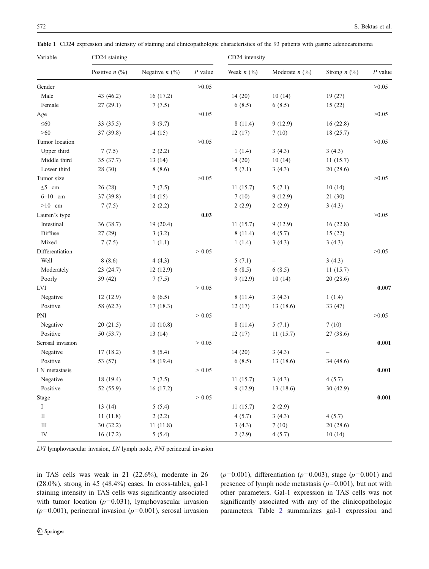<span id="page-3-0"></span>Table 1 CD24 expression and intensity of staining and clinicopathologic characteristics of the 93 patients with gastric adenocarcinoma

| Variable         | CD24 staining    |                  |           | CD24 intensity  |                  |                |           |
|------------------|------------------|------------------|-----------|-----------------|------------------|----------------|-----------|
|                  | Positive $n$ (%) | Negative $n$ (%) | $P$ value | Weak $n$ $(\%)$ | Moderate $n$ (%) | Strong $n$ (%) | $P$ value |
| Gender           |                  |                  | >0.05     |                 |                  |                | >0.05     |
| Male             | 43 (46.2)        | 16(17.2)         |           | 14(20)          | 10(14)           | 19(27)         |           |
| Female           | 27(29.1)         | 7(7.5)           |           | 6(8.5)          | 6(8.5)           | 15(22)         |           |
| Age              |                  |                  | >0.05     |                 |                  |                | >0.05     |
| $\leq 60$        | 33 (35.5)        | 9(9.7)           |           | 8(11.4)         | 9(12.9)          | 16(22.8)       |           |
| $>60$            | 37 (39.8)        | 14(15)           |           | 12(17)          | 7(10)            | 18(25.7)       |           |
| Tumor location   |                  |                  | >0.05     |                 |                  |                | >0.05     |
| Upper third      | 7(7.5)           | 2(2.2)           |           | 1(1.4)          | 3(4.3)           | 3(4.3)         |           |
| Middle third     | 35 (37.7)        | 13(14)           |           | 14(20)          | 10(14)           | 11(15.7)       |           |
| Lower third      | 28 (30)          | 8(8.6)           |           | 5(7.1)          | 3(4.3)           | 20(28.6)       |           |
| Tumor size       |                  |                  | >0.05     |                 |                  |                | >0.05     |
| $\leq$ 5 cm      | 26(28)           | 7(7.5)           |           | 11(15.7)        | 5(7.1)           | 10(14)         |           |
| $6 - 10$ cm      | 37 (39.8)        | 14(15)           |           | 7(10)           | 9(12.9)          | 21(30)         |           |
| $>10$ cm         | 7(7.5)           | 2(2.2)           |           | 2(2.9)          | 2(2.9)           | 3(4.3)         |           |
| Lauren's type    |                  |                  | 0.03      |                 |                  |                | >0.05     |
| Intestinal       | 36 (38.7)        | 19(20.4)         |           | 11(15.7)        | 9(12.9)          | 16(22.8)       |           |
| Diffuse          | 27(29)           | 3(3.2)           |           | 8(11.4)         | 4(5.7)           | 15(22)         |           |
| Mixed            | 7(7.5)           | 1(1.1)           |           | 1(1.4)          | 3(4.3)           | 3(4.3)         |           |
| Differentiation  |                  |                  | > 0.05    |                 |                  |                | >0.05     |
| Well             | 8(8.6)           | 4(4.3)           |           | 5(7.1)          |                  | 3(4.3)         |           |
| Moderately       | 23(24.7)         | 12(12.9)         |           | 6(8.5)          | 6(8.5)           | 11(15.7)       |           |
| Poorly           | 39 (42)          | 7(7.5)           |           | 9(12.9)         | 10(14)           | 20(28.6)       |           |
| LVI              |                  |                  | > 0.05    |                 |                  |                | 0.007     |
| Negative         | 12(12.9)         | 6(6.5)           |           | 8(11.4)         | 3(4.3)           | 1(1.4)         |           |
| Positive         | 58 (62.3)        | 17(18.3)         |           | 12(17)          | 13(18.6)         | 33(47)         |           |
| PNI              |                  |                  | > 0.05    |                 |                  |                | >0.05     |
| Negative         | 20(21.5)         | 10(10.8)         |           | 8(11.4)         | 5(7.1)           | 7(10)          |           |
| Positive         | 50 (53.7)        | 13(14)           |           | 12(17)          | 11(15.7)         | 27 (38.6)      |           |
| Serosal invasion |                  |                  | > 0.05    |                 |                  |                | 0.001     |
| Negative         | 17(18.2)         | 5(5.4)           |           | 14(20)          | 3(4.3)           |                |           |
| Positive         | 53 (57)          | 18 (19.4)        |           | 6(8.5)          | 13 (18.6)        | 34 (48.6)      |           |
| LN metastasis    |                  |                  | > 0.05    |                 |                  |                | 0.001     |
| Negative         | 18 (19.4)        | 7(7.5)           |           | 11(15.7)        | 3(4.3)           | 4(5.7)         |           |
| Positive         | 52 (55.9)        | 16 (17.2)        |           | 9(12.9)         | 13(18.6)         | 30(42.9)       |           |
| Stage            |                  |                  | > 0.05    |                 |                  |                | 0.001     |
| $\bf{I}$         | 13(14)           | 5(5.4)           |           | 11(15.7)        | 2(2.9)           |                |           |
| $\rm II$         | 11(11.8)         | 2(2.2)           |           | 4(5.7)          | 3(4.3)           | 4(5.7)         |           |
| $\rm III$        | 30 (32.2)        | 11(11.8)         |           | 3(4.3)          | 7(10)            | 20(28.6)       |           |
| IV               | 16(17.2)         | 5(5.4)           |           | 2(2.9)          | 4(5.7)           | 10(14)         |           |

LVI lymphovascular invasion, LN lymph node, PNI perineural invasion

in TAS cells was weak in 21 (22.6%), moderate in 26 (28.0%), strong in 45 (48.4%) cases. In cross-tables, gal-1 staining intensity in TAS cells was significantly associated with tumor location  $(p=0.031)$ , lymphovascular invasion  $(p=0.001)$ , perineural invasion  $(p=0.001)$ , serosal invasion  $(p=0.001)$ , differentiation  $(p=0.003)$ , stage  $(p=0.001)$  and presence of lymph node metastasis  $(p=0.001)$ , but not with other parameters. Gal-1 expression in TAS cells was not significantly associated with any of the clinicopathologic parameters. Table [2](#page-5-0) summarizes gal-1 expression and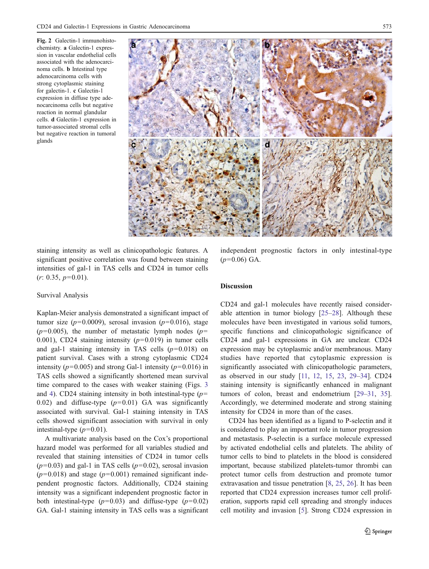<span id="page-4-0"></span>Fig. 2 Galectin-1 immunohistochemistry. a Galectin-1 expression in vascular endothelial cells associated with the adenocarcinoma cells. b Intestinal type adenocarcinoma cells with strong cytoplasmic staining for galectin-1. c Galectin-1 expression in diffuse type adenocarcinoma cells but negative reaction in normal glandular cells. d Galectin-1 expression in tumor-associated stromal cells but negative reaction in tumoral glands



staining intensity as well as clinicopathologic features. A significant positive correlation was found between staining intensities of gal-1 in TAS cells and CD24 in tumor cells  $(r: 0.35, p=0.01).$ 

#### Survival Analysis

Kaplan-Meier analysis demonstrated a significant impact of tumor size ( $p=0.0009$ ), serosal invasion ( $p=0.016$ ), stage  $(p=0.005)$ , the number of metastatic lymph nodes  $(p=0.005)$ 0.001), CD24 staining intensity  $(p=0.019)$  in tumor cells and gal-1 staining intensity in TAS cells  $(p=0.018)$  on patient survival. Cases with a strong cytoplasmic CD24 intensity ( $p=0.005$ ) and strong Gal-1 intensity ( $p=0.016$ ) in TAS cells showed a significantly shortened mean survival time compared to the cases with weaker staining (Figs. [3](#page-6-0) and [4\)](#page-6-0). CD24 staining intensity in both intestinal-type  $(p=$ 0.02) and diffuse-type  $(p=0.01)$  GA was significantly associated with survival. Gal-1 staining intensity in TAS cells showed significant association with survival in only intestinal-type  $(p=0.01)$ .

A multivariate analysis based on the Cox's proportional hazard model was performed for all variables studied and revealed that staining intensities of CD24 in tumor cells  $(p=0.03)$  and gal-1 in TAS cells  $(p=0.02)$ , serosal invasion  $(p=0.018)$  and stage  $(p=0.001)$  remained significant independent prognostic factors. Additionally, CD24 staining intensity was a significant independent prognostic factor in both intestinal-type  $(p=0.03)$  and diffuse-type  $(p=0.02)$ GA. Gal-1 staining intensity in TAS cells was a significant

independent prognostic factors in only intestinal-type  $(p=0.06)$  GA.

## **Discussion**

CD24 and gal-1 molecules have recently raised considerable attention in tumor biology [\[25](#page-7-0)–[28](#page-7-0)]. Although these molecules have been investigated in various solid tumors, specific functions and clinicopathologic significance of CD24 and gal-1 expressions in GA are unclear. CD24 expression may be cytoplasmic and/or membranous. Many studies have reported that cytoplasmic expression is significantly associated with clinicopathologic parameters, as observed in our study [[11,](#page-7-0) [12,](#page-7-0) [15](#page-7-0), [23](#page-7-0), [29](#page-7-0)–[34](#page-7-0)]. CD24 staining intensity is significantly enhanced in malignant tumors of colon, breast and endometrium [\[29](#page-7-0)–[31](#page-7-0), [35\]](#page-7-0). Accordingly, we determined moderate and strong staining intensity for CD24 in more than of the cases.

CD24 has been identified as a ligand to P-selectin and it is considered to play an important role in tumor progression and metastasis. P-selectin is a surface molecule expressed by activated endothelial cells and platelets. The ability of tumor cells to bind to platelets in the blood is considered important, because stabilized platelets-tumor thrombi can protect tumor cells from destruction and promote tumor extravasation and tissue penetration [\[8](#page-7-0), [25,](#page-7-0) [26\]](#page-7-0). It has been reported that CD24 expression increases tumor cell proliferation, supports rapid cell spreading and strongly induces cell motility and invasion [[5\]](#page-7-0). Strong CD24 expression in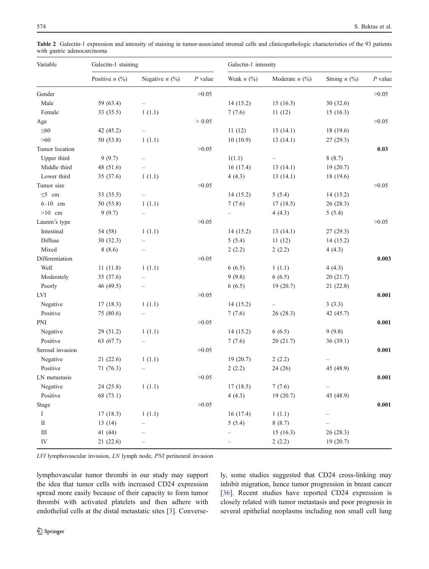| Variable                            | Galectin-1 staining           |                          |           | Galectin-1 intensity |                              |                      |           |
|-------------------------------------|-------------------------------|--------------------------|-----------|----------------------|------------------------------|----------------------|-----------|
|                                     | Positive $n$ (%)              | Negative $n$ (%)         | $P$ value | Weak $n$ $(\%)$      | Moderate $n$ (%)             | Strong $n$ (%)       | $P$ value |
| Gender                              |                               |                          | >0.05     |                      |                              |                      | >0.05     |
| Male                                | 59 (63.4)                     |                          |           | 14(15.2)             | 15(16.3)                     | 30(32.6)             |           |
| Female                              | 33 (35.5)                     | 1(1.1)                   |           | 7(7.6)               | 11(12)                       | 15(16.3)             |           |
| Age                                 |                               |                          | > 0.05    |                      |                              |                      | >0.05     |
| $\leq 60$                           | 42 (45.2)                     |                          |           | 11(12)               | 13(14.1)                     | 18 (19.6)            |           |
| $>60$                               | 50 (53.8)                     | 1(1.1)                   |           | 10(10.9)             | 13(14.1)                     | 27(29.3)             |           |
| Tumor location                      |                               |                          | >0.05     |                      |                              |                      | 0.03      |
| Upper third                         | 9(9.7)                        |                          |           | 1(1.1)               |                              | 8(8.7)               |           |
| Middle third                        | 48 (51.6)                     |                          |           | 16(17.4)             | 13(14.1)                     | 19(20.7)             |           |
| Lower third                         | 35 (37.6)                     | 1(1.1)                   |           | 4(4.3)               | 13(14.1)                     | 18 (19.6)            |           |
| Tumor size                          |                               |                          | >0.05     |                      |                              |                      | >0.05     |
| $\leq 5$ cm                         | 33 (35.5)                     |                          |           | 14(15.2)             | 5(5.4)                       | 14(15.2)             |           |
| $6 - 10$ cm                         | 50 (53.8)                     | 1(1.1)                   |           | 7(7.6)               | 17(18.5)                     | 26 (28.3)            |           |
| $>10$ cm                            | 9(9.7)                        | $\qquad \qquad -$        |           |                      | 4(4.3)                       | 5(5.4)               |           |
| Lauren's type                       |                               |                          | >0.05     |                      |                              |                      | >0.05     |
| Intestinal                          | 54 (58)                       | 1(1.1)                   |           | 14(15.2)             | 13(14.1)                     | 27(29.3)             |           |
| Diffuse                             | 30(32.3)                      |                          |           | 5(5.4)               | 11(12)                       | 14(15.2)             |           |
| Mixed                               | 8(8.6)                        | $\qquad \qquad -$        |           | 2(2.2)               | 2(2.2)                       | 4(4.3)               |           |
| Differentiation                     |                               |                          | >0.05     |                      |                              |                      | 0.003     |
| Well                                | 11(11.8)                      | 1(1.1)                   |           | 6(6.5)               | 1(1.1)                       | 4(4.3)               |           |
| Moderately                          | 35 (37.6)                     |                          |           | 9(9.8)               | 6(6.5)                       | 20(21.7)             |           |
| Poorly                              | 46 (49.5)                     |                          |           | 6(6.5)               | 19(20.7)                     | 21 (22.8)            |           |
| <b>LVI</b>                          |                               |                          | >0.05     |                      |                              |                      | 0.001     |
| Negative                            | 17(18.3)                      | 1(1.1)                   |           | 14(15.2)             |                              | 3(3.3)               |           |
| Positive                            | 75 (80.6)                     |                          |           | 7(7.6)               | 26(28.3)                     | 42 (45.7)            |           |
| PNI                                 |                               |                          | >0.05     |                      |                              |                      | 0.001     |
| Negative                            | 29 (31.2)                     | 1(1.1)                   |           | 14(15.2)             | 6(6.5)                       | 9(9.8)               |           |
| Positive                            | 63 (67.7)                     | $\overline{\phantom{0}}$ |           | 7(7.6)               | 20(21.7)                     | 36(39.1)             |           |
| Serosal invasion                    |                               |                          | >0.05     |                      |                              |                      | 0.001     |
| Negative                            | 21(22.6)                      | 1(1.1)                   |           | 19(20.7)             | 2(2.2)                       |                      |           |
| Positive                            | 71 (76.3)                     |                          |           | 2(2.2)               | 24(26)                       | 45 (48.9)            |           |
| LN metastasis                       |                               |                          | >0.05     |                      |                              |                      | 0.001     |
| Negative                            | 24 (25.8)                     | 1(1.1)                   |           | 17(18.5)             | 7(7.6)                       | -                    |           |
| Positive                            | 68 (73.1)                     |                          |           | 4(4.3)               | 19 (20.7)                    | 45 (48.9)            |           |
| Stage                               |                               |                          | >0.05     |                      |                              |                      | 0.001     |
| $\rm I$                             | 17(18.3)                      | 1(1.1)                   |           | 16(17.4)             | 1(1.1)                       |                      |           |
|                                     |                               |                          |           |                      |                              |                      |           |
|                                     |                               |                          |           |                      |                              |                      |           |
|                                     |                               |                          |           |                      |                              |                      |           |
| $\rm II$<br>$\rm III$<br>${\rm IV}$ | 13(14)<br>41 (44)<br>21(22.6) |                          |           | 5(5.4)               | 8(8.7)<br>15(16.3)<br>2(2.2) | 26(28.3)<br>19(20.7) |           |

<span id="page-5-0"></span>Table 2 Galectin-1 expression and intensity of staining in tumor-associated stromal cells and clinicopathologic characteristics of the 93 patients with gastric adenocarcinoma

LVI lymphovascular invasion, LN lymph node, PNI perineural invasion

lymphovascular tumor thrombi in our study may support the idea that tumor cells with increased CD24 expression spread more easily because of their capacity to form tumor thrombi with activated platelets and then adhere with endothelial cells at the distal metastatic sites [[3\]](#page-7-0). Conversely, some studies suggested that CD24 cross-linking may inhibit migration, hence tumor progression in breast cancer [\[36](#page-7-0)]. Recent studies have reported CD24 expression is closely related with tumor metastasis and poor prognosis in several epithelial neoplasms including non small cell lung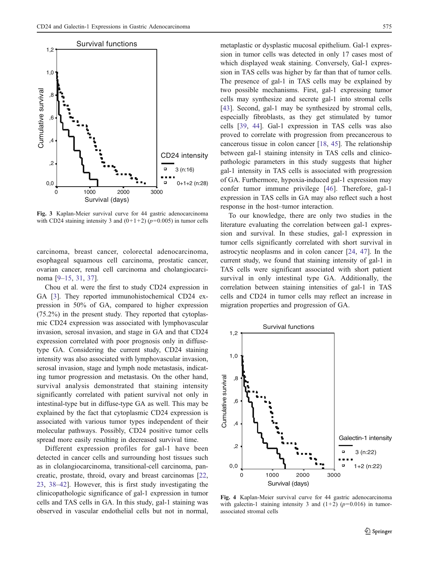<span id="page-6-0"></span>

Fig. 3 Kaplan-Meier survival curve for 44 gastric adenocarcinoma with CD24 staining intensity 3 and  $(0+1+2)$  ( $p=0.005$ ) in tumor cells

carcinoma, breast cancer, colorectal adenocarcinoma, esophageal squamous cell carcinoma, prostatic cancer, ovarian cancer, renal cell carcinoma and cholangiocarcinoma [[9](#page-7-0)–[15,](#page-7-0) [31](#page-7-0), [37](#page-7-0)].

Chou et al. were the first to study CD24 expression in GA [[3\]](#page-7-0). They reported immunohistochemical CD24 expression in 50% of GA, compared to higher expression (75.2%) in the present study. They reported that cytoplasmic CD24 expression was associated with lymphovascular invasion, serosal invasion, and stage in GA and that CD24 expression correlated with poor prognosis only in diffusetype GA. Considering the current study, CD24 staining intensity was also associated with lymphovascular invasion, serosal invasion, stage and lymph node metastasis, indicating tumor progression and metastasis. On the other hand, survival analysis demonstrated that staining intensity significantly correlated with patient survival not only in intestinal-type but in diffuse-type GA as well. This may be explained by the fact that cytoplasmic CD24 expression is associated with various tumor types independent of their molecular pathways. Possibly, CD24 positive tumor cells spread more easily resulting in decreased survival time.

Different expression profiles for gal-1 have been detected in cancer cells and surrounding host tissues such as in clolangiocarcinoma, transitional-cell carcinoma, pancreatic, prostate, throid, ovary and breast carcinomas [[22,](#page-7-0) [23](#page-7-0), [38](#page-7-0)–[42\]](#page-8-0). However, this is first study investigating the clinicopathologic significance of gal-1 expression in tumor cells and TAS cells in GA. In this study, gal-1 staining was observed in vascular endothelial cells but not in normal, metaplastic or dysplastic mucosal epithelium. Gal-1 expression in tumor cells was detected in only 17 cases most of which displayed weak staining. Conversely, Gal-1 expression in TAS cells was higher by far than that of tumor cells. The presence of gal-1 in TAS cells may be explained by two possible mechanisms. First, gal-1 expressing tumor cells may synthesize and secrete gal-1 into stromal cells [\[43](#page-8-0)]. Second, gal-1 may be synthesized by stromal cells, especially fibroblasts, as they get stimulated by tumor cells [[39,](#page-7-0) [44\]](#page-8-0). Gal-1 expression in TAS cells was also proved to correlate with progression from precancerous to cancerous tissue in colon cancer [[18,](#page-7-0) [45\]](#page-8-0). The relationship between gal-1 staining intensity in TAS cells and clinicopathologic parameters in this study suggests that higher gal-1 intensity in TAS cells is associated with progression of GA. Furthermore, hypoxia-induced gal-1 expression may confer tumor immune privilege [[46](#page-8-0)]. Therefore, gal-1 expression in TAS cells in GA may also reflect such a host response in the host–tumor interaction.

To our knowledge, there are only two studies in the literature evaluating the correlation between gal-1 expression and survival. In these studies, gal-1 expression in tumor cells significantly correlated with short survival in astrocytic neoplasms and in colon cancer [[24,](#page-7-0) [47](#page-8-0)]. In the current study, we found that staining intensity of gal-1 in TAS cells were significant associated with short patient survival in only intestinal type GA. Additionally, the correlation between staining intensities of gal-1 in TAS cells and CD24 in tumor cells may reflect an increase in migration properties and progression of GA.



Fig. 4 Kaplan-Meier survival curve for 44 gastric adenocarcinoma with galectin-1 staining intensity 3 and  $(1+2)$  ( $p=0.016$ ) in tumorassociated stromal cells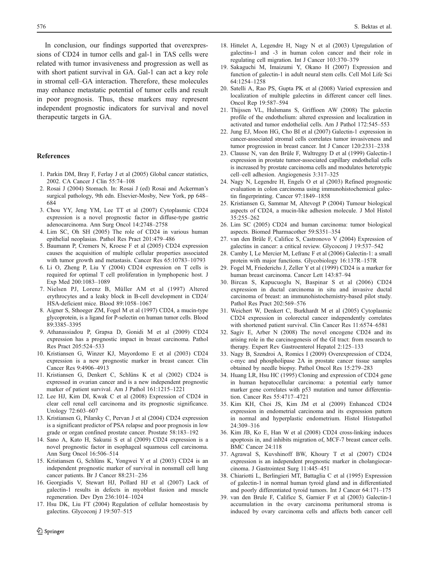<span id="page-7-0"></span>In conclusion, our findings supported that overexpressions of CD24 in tumor cells and gal-1 in TAS cells were related with tumor invasiveness and progression as well as with short patient survival in GA. Gal-1 can act a key role in stromal cell–GA interaction. Therefore, these molecules may enhance metastatic potential of tumor cells and result in poor prognosis. Thus, these markers may represent independent prognostic indicators for survival and novel therapeutic targets in GA.

#### References

- 1. Parkin DM, Bray F, Ferlay J et al (2005) Global cancer statistics, 2002. CA Cancer J Clin 55:74–108
- 2. Rosai J (2004) Stomach. In: Rosai J (ed) Rosai and Ackerman's surgical pathology, 9th edn. Elsevier-Mosby, New York, pp 648– 684
- 3. Chou YY, Jeng YM, Lee TT et al (2007) Cytoplasmic CD24 expression is a novel prognostic factor in diffuse-type gastric adenocarcinoma. Ann Surg Oncol 14:2748–2758
- 4. Lim SC, Oh SH (2005) The role of CD24 in various human epithelial neoplasias. Pathol Res Pract 201:479–486
- 5. Baumann P, Cremers N, Kroese F et al (2005) CD24 expression causes the acquisition of multiple cellular properties associated with tumor growth and metastasis. Cancer Res 65:10783–10793
- 6. Li O, Zheng P, Liu Y (2004) CD24 expression on T cells is required for optimal T cell proliferation in lymphopenic host. J Exp Med 200:1083–1089
- 7. Nielsen PJ, Lorenz B, Müller AM et al (1997) Altered erythrocytes and a leaky block in B-cell development in CD24/ HSA-deficient mice. Blood 89:1058–1067
- 8. Aigner S, Sthoeger ZM, Fogel M et al (1997) CD24, a mucin-type glycoprotein, is a ligand for P-selectin on human tumor cells. Blood 89:3385–3395
- 9. Athanassiadou P, Grapsa D, Gonidi M et al (2009) CD24 expression has a prognostic impact in breast carcinoma. Pathol Res Pract 205:524–533
- 10. Kristiansen G, Winzer KJ, Mayordomo E et al (2003) CD24 expression is a new prognostic marker in breast cancer. Clin Cancer Res 9:4906–4913
- 11. Kristiansen G, Denkert C, Schlüns K et al (2002) CD24 is expressed in ovarian cancer and is a new independent prognostic marker of patient survival. Am J Pathol 161:1215–1221
- 12. Lee HJ, Kim DI, Kwak C et al (2008) Expression of CD24 in clear cell renal cell carcinoma and its prognostic significance. Urology 72:603–607
- 13. Kristiansen G, Pilarsky C, Pervan J et al (2004) CD24 expression is a significant predictor of PSA relapse and poor prognosis in low grade or organ confined prostate cancer. Prostate 58:183–192
- 14. Sano A, Kato H, Sakurai S et al (2009) CD24 expression is a novel prognostic factor in esophageal squamous cell carcinoma. Ann Surg Oncol 16:506–514
- 15. Kristiansen G, Schlüns K, Yongwei Y et al (2003) CD24 is an independent prognostic marker of survival in nonsmall cell lung cancer patients. Br J Cancer 88:231–236
- 16. Georgiadis V, Stewart HJ, Pollard HJ et al (2007) Lack of galectin-1 results in defects in myoblast fusion and muscle regeneration. Dev Dyn 236:1014–1024
- 17. Hsu DK, Liu FT (2004) Regulation of cellular homeostasis by galectins. Glycoconj J 19:507–515
- 18. Hittelet A, Legendre H, Nagy N et al (2003) Upregulation of galectins-1 and -3 in human colon cancer and their role in regulating cell migration. Int J Cancer 103:370–379
- 19. Sakaguchi M, Imaizumi Y, Okano H (2007) Expression and function of galectin-1 in adult neural stem cells. Cell Mol Life Sci 64:1254–1258
- 20. Satelli A, Rao PS, Gupta PK et al (2008) Varied expression and localization of multiple galectins in different cancer cell lines. Oncol Rep 19:587–594
- 21. Thijssen VL, Hulsmans S, Griffioen AW (2008) The galectin profile of the endothelium: altered expression and localization in activated and tumor endothelial cells. Am J Pathol 172:545–553
- 22. Jung EJ, Moon HG, Cho BI et al (2007) Galectin-1 expression in cancer-associated stromal cells correlates tumor invasiveness and tumor progression in breast cancer. Int J Cancer 120:2331–2338
- 23. Clausse N, van den Brûle F, Waltregny D et al (1999) Galectin-1 expression in prostate tumor-associated capillary endothelial cells is increased by prostate carcinoma cells and modulates heterotypic cell–cell adhesion. Angiogenesis 3:317–325
- 24. Nagy N, Legendre H, Engels O et al (2003) Refined prognostic evaluation in colon carcinoma using immunohistochemical galectin fingerprinting. Cancer 97:1849–1858
- 25. Kristiansen G, Sammar M, Altevogt P (2004) Tumour biological aspects of CD24, a mucin-like adhesion molecule. J Mol Histol 35:255–262
- 26. Lim SC (2005) CD24 and human carcinoma: tumor biological aspects. Biomed Pharmacother 59:S351–354
- 27. van den Brûle F, Califice S, Castronovo V (2004) Expression of galectins in cancer: a critical review. Glycoconj J 19:537–542
- 28. Camby I, Le Mercier M, Lefranc F et al (2006) Galectin-1: a small protein with major functions. Glycobiology 16:137R–157R
- 29. Fogel M, Friederichs J, Zeller Y et al (1999) CD24 is a marker for human breast carcinoma. Cancer Lett 143:87–94
- 30. Bircan S, Kapucuoglu N, Baspinar S et al (2006) CD24 expression in ductal carcinoma in situ and invasive ductal carcinoma of breast: an immunohistochemistry-based pilot study. Pathol Res Pract 202:569–576
- 31. Weichert W, Denkert C, Burkhardt M et al (2005) Cytoplasmic CD24 expression in colorectal cancer independently correlates with shortened patient survival. Clin Cancer Res 11:6574–6581
- 32. Sagiv E, Arber N (2008) The novel oncogene CD24 and its arising role in the carcinogenesis of the GI tract: from research to therapy. Expert Rev Gastroenterol Hepatol 2:125–133
- 33. Nagy B, Szendroi A, Romics I (2009) Overexpression of CD24, c-myc and phospholipase 2A in prostate cancer tissue samples obtained by needle biopsy. Pathol Oncol Res 15:279–283
- 34. Huang LR, Hsu HC (1995) Cloning and expression of CD24 gene in human hepatocellular carcinoma: a potential early tumor marker gene correlates with p53 mutation and tumor differentiation. Cancer Res 55:4717–4721
- 35. Kim KH, Choi JS, Kim JM et al (2009) Enhanced CD24 expression in endometrial carcinoma and its expression pattern in normal and hyperplastic endometrium. Histol Histopathol 24:309–316
- 36. Kim JB, Ko E, Han W et al (2008) CD24 cross-linking induces apoptosis in, and inhibits migration of, MCF-7 breast cancer cells. BMC Cancer 24:118
- 37. Agrawal S, Kuvshinoff BW, Khoury T et al (2007) CD24 expression is an independent prognostic marker in cholangiocarcinoma. J Gastrointest Surg 11:445–451
- 38. Chiariotti L, Berlingieri MT, Battaglia C et al (1995) Expression of galectin-1 in normal human tyroid gland and in differentiated and poorly differentiated tyroid tumors. Int J Cancer 64:171–175
- 39. van den Brule F, Califice S, Garnier F et al (2003) Galectin-1 accumulation in the ovary carcinoma peritumoral stroma is induced by ovary carcinoma cells and affects both cancer cell